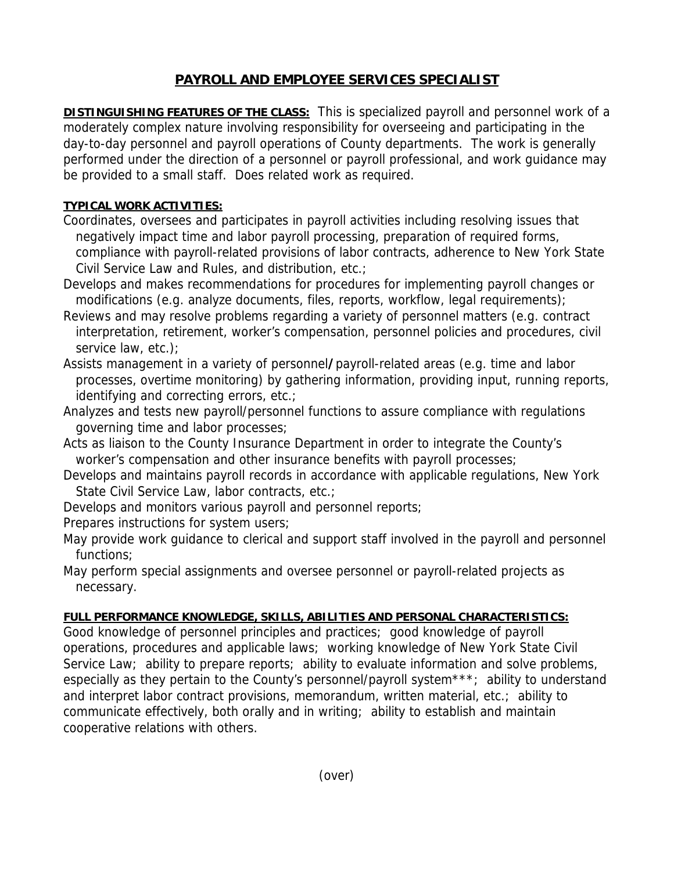## **PAYROLL AND EMPLOYEE SERVICES SPECIALIST**

**DISTINGUISHING FEATURES OF THE CLASS:** This is specialized payroll and personnel work of a moderately complex nature involving responsibility for overseeing and participating in the day-to-day personnel and payroll operations of County departments. The work is generally performed under the direction of a personnel or payroll professional, and work guidance may be provided to a small staff. Does related work as required.

## **TYPICAL WORK ACTIVITIES:**

- Coordinates, oversees and participates in payroll activities including resolving issues that negatively impact time and labor payroll processing, preparation of required forms, compliance with payroll-related provisions of labor contracts, adherence to New York State Civil Service Law and Rules, and distribution, etc.;
- Develops and makes recommendations for procedures for implementing payroll changes or modifications (e.g. analyze documents, files, reports, workflow, legal requirements);
- Reviews and may resolve problems regarding a variety of personnel matters (e.g. contract interpretation, retirement, worker's compensation, personnel policies and procedures, civil service law, etc.);
- Assists management in a variety of personnel**/**payroll-related areas (e.g. time and labor processes, overtime monitoring) by gathering information, providing input, running reports, identifying and correcting errors, etc.;
- Analyzes and tests new payroll/personnel functions to assure compliance with regulations governing time and labor processes;
- Acts as liaison to the County Insurance Department in order to integrate the County's worker's compensation and other insurance benefits with payroll processes;
- Develops and maintains payroll records in accordance with applicable regulations, New York State Civil Service Law, labor contracts, etc.;
- Develops and monitors various payroll and personnel reports;
- Prepares instructions for system users;
- May provide work guidance to clerical and support staff involved in the payroll and personnel functions;
- May perform special assignments and oversee personnel or payroll-related projects as necessary.

## **FULL PERFORMANCE KNOWLEDGE, SKILLS, ABILITIES AND PERSONAL CHARACTERISTICS:**

Good knowledge of personnel principles and practices; good knowledge of payroll operations, procedures and applicable laws; working knowledge of New York State Civil Service Law; ability to prepare reports; ability to evaluate information and solve problems, especially as they pertain to the County's personnel/payroll system\*\*\*; ability to understand and interpret labor contract provisions, memorandum, written material, etc.; ability to communicate effectively, both orally and in writing; ability to establish and maintain cooperative relations with others.